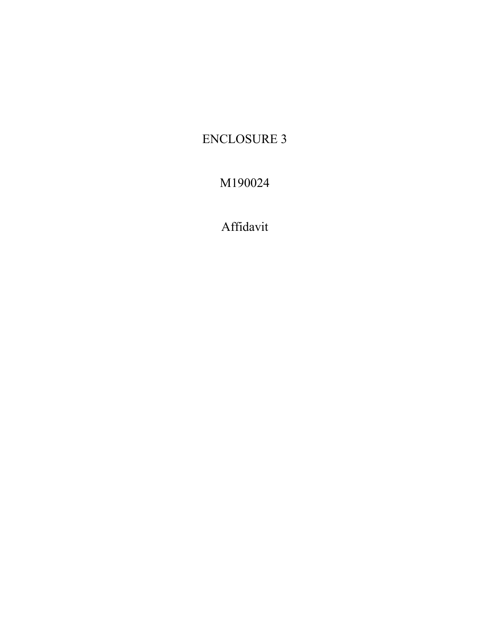## **ENCLOSURE 3**

## M190024

Affidavit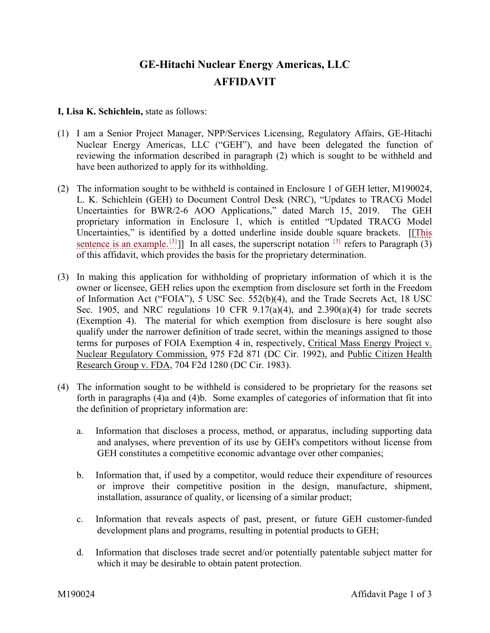## **GE-Hitachi Nuclear Energy Americas, LLC AFFIDAVIT**

## **I, Lisa K. Schichlein,** state as follows:

- (1) I am a Senior Project Manager, NPP/Services Licensing, Regulatory Affairs, GE-Hitachi Nuclear Energy Americas, LLC ("GEH"), and have been delegated the function of reviewing the information described in paragraph (2) which is sought to be withheld and have been authorized to apply for its withholding.
- (2) The information sought to be withheld is contained in Enclosure 1 of GEH letter, M190024, L. K. Schichlein (GEH) to Document Control Desk (NRC), "Updates to TRACG Model Uncertainties for BWR/2-6 AOO Applications," dated March 15, 2019. The GEH proprietary information in Enclosure 1, which is entitled "Updated TRACG Model Uncertainties," is identified by a dotted underline inside double square brackets. [[This sentence is an example.<sup>{3}</sup>]] In all cases, the superscript notation  $\{3\}$  refers to Paragraph (3) of this affidavit, which provides the basis for the proprietary determination.
- (3) In making this application for withholding of proprietary information of which it is the owner or licensee, GEH relies upon the exemption from disclosure set forth in the Freedom of Information Act ("FOIA"), 5 USC Sec. 552(b)(4), and the Trade Secrets Act, 18 USC Sec. 1905, and NRC regulations 10 CFR  $9.17(a)(4)$ , and  $2.390(a)(4)$  for trade secrets (Exemption 4). The material for which exemption from disclosure is here sought also qualify under the narrower definition of trade secret, within the meanings assigned to those terms for purposes of FOIA Exemption 4 in, respectively, Critical Mass Energy Project v. Nuclear Regulatory Commission, 975 F2d 871 (DC Cir. 1992), and Public Citizen Health Research Group v. FDA, 704 F2d 1280 (DC Cir. 1983).
- (4) The information sought to be withheld is considered to be proprietary for the reasons set forth in paragraphs (4)a and (4)b. Some examples of categories of information that fit into the definition of proprietary information are:
	- a. Information that discloses a process, method, or apparatus, including supporting data and analyses, where prevention of its use by GEH's competitors without license from GEH constitutes a competitive economic advantage over other companies;
	- b. Information that, if used by a competitor, would reduce their expenditure of resources or improve their competitive position in the design, manufacture, shipment, installation, assurance of quality, or licensing of a similar product;
	- c. Information that reveals aspects of past, present, or future GEH customer-funded development plans and programs, resulting in potential products to GEH;
	- d. Information that discloses trade secret and/or potentially patentable subject matter for which it may be desirable to obtain patent protection.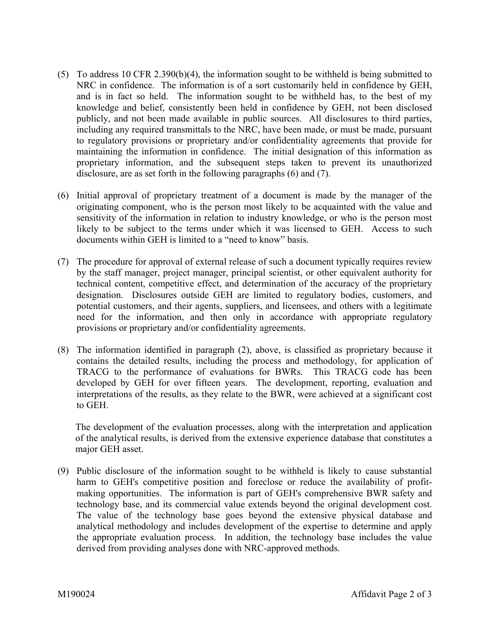- (5) To address 10 CFR 2.390(b)(4), the information sought to be withheld is being submitted to NRC in confidence. The information is of a sort customarily held in confidence by GEH, and is in fact so held. The information sought to be withheld has, to the best of my knowledge and belief, consistently been held in confidence by GEH, not been disclosed publicly, and not been made available in public sources. All disclosures to third parties, including any required transmittals to the NRC, have been made, or must be made, pursuant to regulatory provisions or proprietary and/or confidentiality agreements that provide for maintaining the information in confidence. The initial designation of this information as proprietary information, and the subsequent steps taken to prevent its unauthorized disclosure, are as set forth in the following paragraphs (6) and (7).
- (6) Initial approval of proprietary treatment of a document is made by the manager of the originating component, who is the person most likely to be acquainted with the value and sensitivity of the information in relation to industry knowledge, or who is the person most likely to be subject to the terms under which it was licensed to GEH. Access to such documents within GEH is limited to a "need to know" basis.
- (7) The procedure for approval of external release of such a document typically requires review by the staff manager, project manager, principal scientist, or other equivalent authority for technical content, competitive effect, and determination of the accuracy of the proprietary designation. Disclosures outside GEH are limited to regulatory bodies, customers, and potential customers, and their agents, suppliers, and licensees, and others with a legitimate need for the information, and then only in accordance with appropriate regulatory provisions or proprietary and/or confidentiality agreements.
- (8) The information identified in paragraph (2), above, is classified as proprietary because it contains the detailed results, including the process and methodology, for application of TRACG to the performance of evaluations for BWRs. This TRACG code has been developed by GEH for over fifteen years. The development, reporting, evaluation and interpretations of the results, as they relate to the BWR, were achieved at a significant cost to GEH.

The development of the evaluation processes, along with the interpretation and application of the analytical results, is derived from the extensive experience database that constitutes a major GEH asset.

(9) Public disclosure of the information sought to be withheld is likely to cause substantial harm to GEH's competitive position and foreclose or reduce the availability of profitmaking opportunities. The information is part of GEH's comprehensive BWR safety and technology base, and its commercial value extends beyond the original development cost. The value of the technology base goes beyond the extensive physical database and analytical methodology and includes development of the expertise to determine and apply the appropriate evaluation process. In addition, the technology base includes the value derived from providing analyses done with NRC-approved methods.